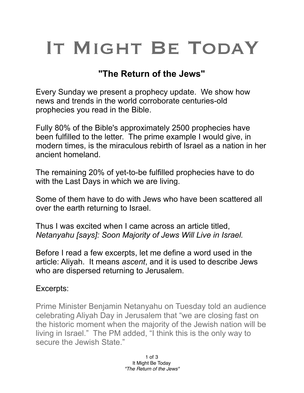## IT MIGHT BE TODAY

## **"The Return of the Jews"**

Every Sunday we present a prophecy update. We show how news and trends in the world corroborate centuries-old prophecies you read in the Bible.

Fully 80% of the Bible's approximately 2500 prophecies have been fulfilled to the letter. The prime example I would give, in modern times, is the miraculous rebirth of Israel as a nation in her ancient homeland.

The remaining 20% of yet-to-be fulfilled prophecies have to do with the Last Days in which we are living.

Some of them have to do with Jews who have been scattered all over the earth returning to Israel.

Thus I was excited when I came across an article titled, *Netanyahu [says]: Soon Majority of Jews Will Live in Israel.* 

Before I read a few excerpts, let me define a word used in the article: Aliyah. It means *ascent*, and it is used to describe Jews who are dispersed returning to Jerusalem.

## Excerpts:

Prime Minister Benjamin Netanyahu on Tuesday told an audience celebrating Aliyah Day in Jerusalem that "we are closing fast on the historic moment when the majority of the Jewish nation will be living in Israel." The PM added, "I think this is the only way to secure the Jewish State."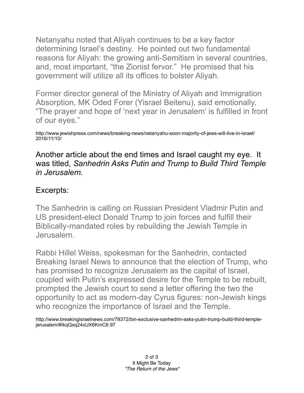Netanyahu noted that Aliyah continues to be a key factor determining Israel's destiny. He pointed out two fundamental reasons for Aliyah: the growing anti-Semitism in several countries, and, most important, "the Zionist fervor." He promised that his government will utilize all its offices to bolster Aliyah.

Former director general of the Ministry of Aliyah and Immigration Absorption, MK Oded Forer (Yisrael Beitenu), said emotionally, "The prayer and hope of 'next year in Jerusalem' is fulfilled in front of our eyes."

http://www.jewishpress.com/news/breaking-news/netanyahu-soon-majority-of-jews-will-live-in-israel/ 2016/11/10/

Another article about the end times and Israel caught my eye. It was titled, *Sanhedrin Asks Putin and Trump to Build Third Temple in Jerusalem.*

## Excerpts:

The Sanhedrin is calling on Russian President Vladmir Putin and US president-elect Donald Trump to join forces and fulfill their Biblically-mandated roles by rebuilding the Jewish Temple in Jerusalem.

Rabbi Hillel Weiss, spokesman for the Sanhedrin, contacted Breaking Israel News to announce that the election of Trump, who has promised to recognize Jerusalem as the capital of Israel, coupled with Putin's expressed desire for the Temple to be rebuilt, prompted the Jewish court to send a letter offering the two the opportunity to act as modern-day Cyrus figures: non-Jewish kings who recognize the importance of Israel and the Temple.

http://www.breakingisraelnews.com/78372/bin-exclusive-sanhedrin-asks-putin-trump-build-third-templejerusalem/#IkqQxq24xUX6KmC6.97